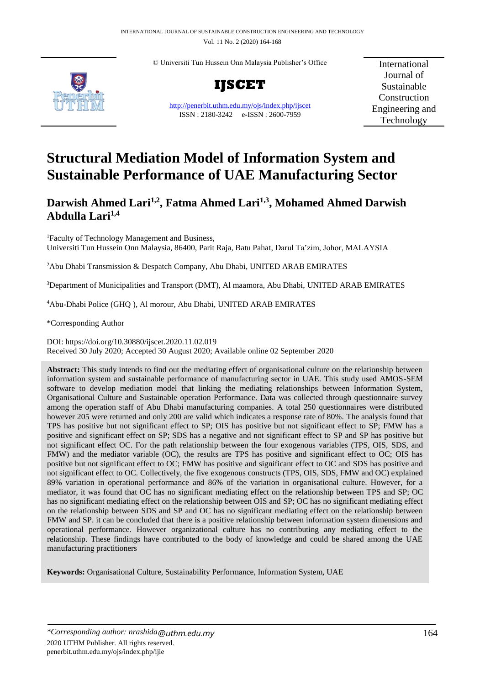Vol. 11 No. 2 (2020) 164-168

© Universiti Tun Hussein Onn Malaysia Publisher's Office



**IJSCET**

<http://penerbit.uthm.edu.my/ojs/index.php/ijscet> ISSN : 2180-3242 e-ISSN : 2600-7959

International Journal of Sustainable Construction Engineering and Technology

# **Structural Mediation Model of Information System and Sustainable Performance of UAE Manufacturing Sector**

# **Darwish Ahmed Lari1,2 , Fatma Ahmed Lari1,3 , Mohamed Ahmed Darwish Abdulla Lari1,4**

<sup>1</sup>Faculty of Technology Management and Business, Universiti Tun Hussein Onn Malaysia, 86400, Parit Raja, Batu Pahat, Darul Ta'zim, Johor, MALAYSIA

<sup>2</sup>Abu Dhabi Transmission & Despatch Company, Abu Dhabi, UNITED ARAB EMIRATES

<sup>3</sup>Department of Municipalities and Transport (DMT), Al maamora, Abu Dhabi, UNITED ARAB EMIRATES

<sup>4</sup>Abu-Dhabi Police (GHQ ), Al morour, Abu Dhabi, UNITED ARAB EMIRATES

\*Corresponding Author

DOI: https://doi.org/10.30880/ijscet.2020.11.02.019 Received 30 July 2020; Accepted 30 August 2020; Available online 02 September 2020

**Abstract:** This study intends to find out the mediating effect of organisational culture on the relationship between information system and sustainable performance of manufacturing sector in UAE. This study used AMOS-SEM software to develop mediation model that linking the mediating relationships between Information System, Organisational Culture and Sustainable operation Performance. Data was collected through questionnaire survey among the operation staff of Abu Dhabi manufacturing companies. A total 250 questionnaires were distributed however 205 were returned and only 200 are valid which indicates a response rate of 80%. The analysis found that TPS has positive but not significant effect to SP; OIS has positive but not significant effect to SP; FMW has a positive and significant effect on SP; SDS has a negative and not significant effect to SP and SP has positive but not significant effect OC. For the path relationship between the four exogenous variables (TPS, OIS, SDS, and FMW) and the mediator variable (OC), the results are TPS has positive and significant effect to OC; OIS has positive but not significant effect to OC; FMW has positive and significant effect to OC and SDS has positive and not significant effect to OC. Collectively, the five exogenous constructs (TPS, OIS, SDS, FMW and OC) explained 89% variation in operational performance and 86% of the variation in organisational culture. However, for a mediator, it was found that OC has no significant mediating effect on the relationship between TPS and SP; OC has no significant mediating effect on the relationship between OIS and SP; OC has no significant mediating effect on the relationship between SDS and SP and OC has no significant mediating effect on the relationship between FMW and SP. it can be concluded that there is a positive relationship between information system dimensions and operational performance. However organizational culture has no contributing any mediating effect to the relationship. These findings have contributed to the body of knowledge and could be shared among the UAE manufacturing practitioners

**Keywords:** Organisational Culture, Sustainability Performance, Information System, UAE

*\*Corresponding author: nrashida@uthm.edu.my* 164 2020 UTHM Publisher. All rights reserved. penerbit.uthm.edu.my/ojs/index.php/ijie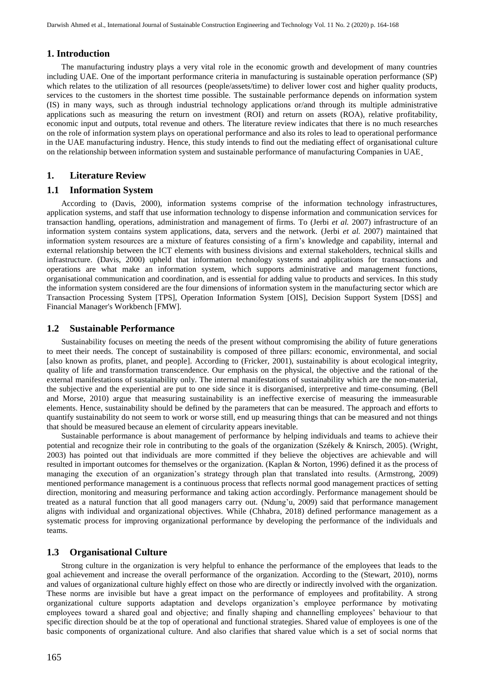#### **1. Introduction**

The manufacturing industry plays a very vital role in the economic growth and development of many countries including UAE. One of the important performance criteria in manufacturing is sustainable operation performance (SP) which relates to the utilization of all resources (people/assets/time) to deliver lower cost and higher quality products, services to the customers in the shortest time possible. The sustainable performance depends on information system (IS) in many ways, such as through industrial technology applications or/and through its multiple administrative applications such as measuring the return on investment (ROI) and return on assets (ROA), relative profitability, economic input and outputs, total revenue and others. The literature review indicates that there is no much researches on the role of information system plays on operational performance and also its roles to lead to operational performance in the UAE manufacturing industry. Hence, this study intends to find out the mediating effect of organisational culture on the relationship between information system and sustainable performance of manufacturing Companies in UAE.

## **1. Literature Review**

#### **1.1 Information System**

According to (Davis, 2000), information systems comprise of the information technology infrastructures, application systems, and staff that use information technology to dispense information and communication services for transaction handling, operations, administration and management of firms. To (Jerbi *et al.* 2007) infrastructure of an information system contains system applications, data, servers and the network. (Jerbi *et al.* 2007) maintained that information system resources are a mixture of features consisting of a firm's knowledge and capability, internal and external relationship between the ICT elements with business divisions and external stakeholders, technical skills and infrastructure. (Davis, 2000) upheld that information technology systems and applications for transactions and operations are what make an information system, which supports administrative and management functions, organisational communication and coordination, and is essential for adding value to products and services. In this study the information system considered are the four dimensions of information system in the manufacturing sector which are Transaction Processing System [TPS], Operation Information System [OIS], Decision Support System [DSS] and Financial Manager's Workbench [FMW].

#### **1.2 Sustainable Performance**

Sustainability focuses on meeting the needs of the present without compromising the ability of future generations to meet their needs. The concept of sustainability is composed of three pillars: economic, environmental, and social [also known as profits, planet, and people]. According to (Fricker, 2001), sustainability is about ecological integrity, quality of life and transformation transcendence. Our emphasis on the physical, the objective and the rational of the external manifestations of sustainability only. The internal manifestations of sustainability which are the non-material, the subjective and the experiential are put to one side since it is disorganised, interpretive and time-consuming. (Bell and Morse, 2010) argue that measuring sustainability is an ineffective exercise of measuring the immeasurable elements. Hence, sustainability should be defined by the parameters that can be measured. The approach and efforts to quantify sustainability do not seem to work or worse still, end up measuring things that can be measured and not things that should be measured because an element of circularity appears inevitable.

Sustainable performance is about management of performance by helping individuals and teams to achieve their potential and recognize their role in contributing to the goals of the organization (Székely & Knirsch, 2005). (Wright, 2003) has pointed out that individuals are more committed if they believe the objectives are achievable and will resulted in important outcomes for themselves or the organization. (Kaplan & Norton, 1996) defined it as the process of managing the execution of an organization's strategy through plan that translated into results. (Armstrong, 2009) mentioned performance management is a continuous process that reflects normal good management practices of setting direction, monitoring and measuring performance and taking action accordingly. Performance management should be treated as a natural function that all good managers carry out. (Ndung'u, 2009) said that performance management aligns with individual and organizational objectives. While (Chhabra, 2018) defined performance management as a systematic process for improving organizational performance by developing the performance of the individuals and teams.

#### **1.3 Organisational Culture**

Strong culture in the organization is very helpful to enhance the performance of the employees that leads to the goal achievement and increase the overall performance of the organization. According to the (Stewart, 2010), norms and values of organizational culture highly effect on those who are directly or indirectly involved with the organization. These norms are invisible but have a great impact on the performance of employees and profitability. A strong organizational culture supports adaptation and develops organization's employee performance by motivating employees toward a shared goal and objective; and finally shaping and channelling employees' behaviour to that specific direction should be at the top of operational and functional strategies. Shared value of employees is one of the basic components of organizational culture. And also clarifies that shared value which is a set of social norms that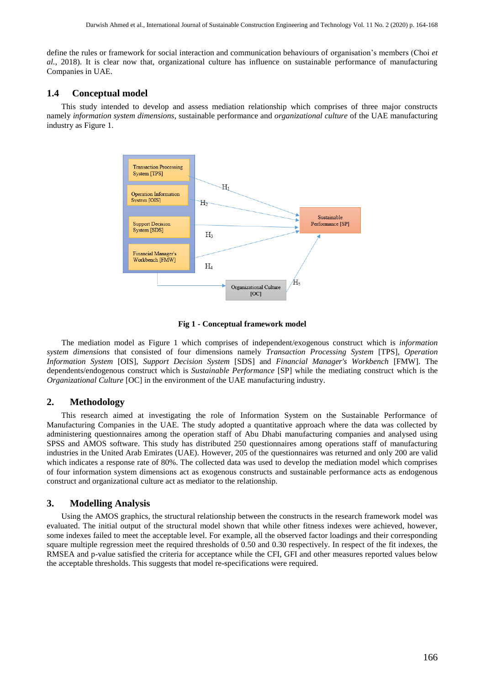define the rules or framework for social interaction and communication behaviours of organisation's members (Choi *et al.*, 2018). It is clear now that, organizational culture has influence on sustainable performance of manufacturing Companies in UAE.

# **1.4 Conceptual model**

This study intended to develop and assess mediation relationship which comprises of three major constructs namely *information system dimensions*, sustainable performance and *organizational culture* of the UAE manufacturing industry as Figure 1.



**Fig 1 - Conceptual framework model**

The mediation model as Figure 1 which comprises of independent/exogenous construct which is *information system dimensions* that consisted of four dimensions namely *Transaction Processing System* [TPS], *Operation Information System* [OIS], *Support Decision System* [SDS] and *Financial Manager's Workbench* [FMW]. The dependents/endogenous construct which is *Sustainable Performance* [SP] while the mediating construct which is the *Organizational Culture* [OC] in the environment of the UAE manufacturing industry.

#### **2. Methodology**

This research aimed at investigating the role of Information System on the Sustainable Performance of Manufacturing Companies in the UAE. The study adopted a quantitative approach where the data was collected by administering questionnaires among the operation staff of Abu Dhabi manufacturing companies and analysed using SPSS and AMOS software. This study has distributed 250 questionnaires among operations staff of manufacturing industries in the United Arab Emirates (UAE). However, 205 of the questionnaires was returned and only 200 are valid which indicates a response rate of 80%. The collected data was used to develop the mediation model which comprises of four information system dimensions act as exogenous constructs and sustainable performance acts as endogenous construct and organizational culture act as mediator to the relationship.

# **3. Modelling Analysis**

Using the AMOS graphics, the structural relationship between the constructs in the research framework model was evaluated. The initial output of the structural model shown that while other fitness indexes were achieved, however, some indexes failed to meet the acceptable level. For example, all the observed factor loadings and their corresponding square multiple regression meet the required thresholds of 0.50 and 0.30 respectively. In respect of the fit indexes, the RMSEA and p-value satisfied the criteria for acceptance while the CFI, GFI and other measures reported values below the acceptable thresholds. This suggests that model re-specifications were required.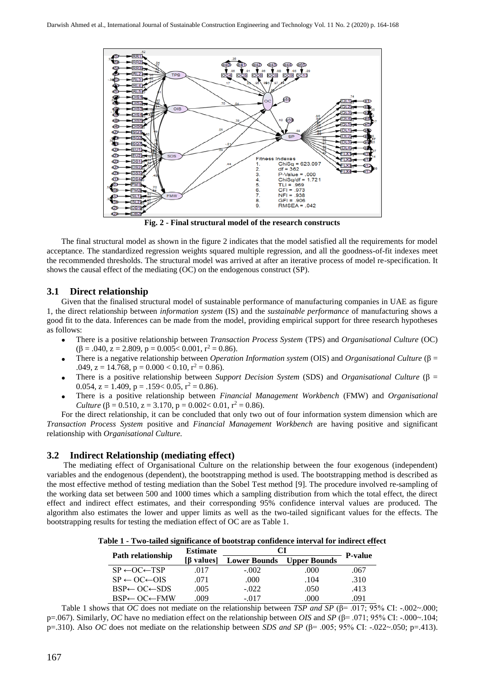

**Fig. 2 - Final structural model of the research constructs**

The final structural model as shown in the figure 2 indicates that the model satisfied all the requirements for model acceptance. The standardized regression weights squared multiple regression, and all the goodness-of-fit indexes meet the recommended thresholds. The structural model was arrived at after an iterative process of model re-specification. It shows the causal effect of the mediating (OC) on the endogenous construct (SP).

# **3.1 Direct relationship**

Given that the finalised structural model of sustainable performance of manufacturing companies in UAE as figure 1, the direct relationship between *information system* (IS) and the *sustainable performance* of manufacturing shows a good fit to the data. Inferences can be made from the model, providing empirical support for three research hypotheses as follows:

- There is a positive relationship between *Transaction Process System* (TPS) and *Organisational Culture* (OC)  $(\beta = .040, z = 2.809, p = 0.005 < 0.001, r^2 = 0.86).$
- There is a negative relationship between *Operation Information system* (OIS) and *Organisational Culture* (β = .049,  $z = 14.768$ ,  $p = 0.000 < 0.10$ ,  $r^2 = 0.86$ ).
- There is a positive relationship between *Support Decision System* (SDS) and *Organisational Culture* (β = 0.054,  $z = 1.409$ ,  $p = .159 < 0.05$ ,  $r^2 = 0.86$ ).
- There is a positive relationship between *Financial Management Workbench* (FMW) and *Organisational Culture* ( $\beta = 0.510$ ,  $z = 3.170$ ,  $p = 0.002 < 0.01$ ,  $r^2 = 0.86$ ).

For the direct relationship, it can be concluded that only two out of four information system dimension which are *Transaction Process System* positive and *Financial Management Workbench* are having positive and significant relationship with *Organisational Culture.*

# **3.2 Indirect Relationship (mediating effect)**

The mediating effect of Organisational Culture on the relationship between the four exogenous (independent) variables and the endogenous (dependent), the bootstrapping method is used. The bootstrapping method is described as the most effective method of testing mediation than the Sobel Test method [9]. The procedure involved re-sampling of the working data set between 500 and 1000 times which a sampling distribution from which the total effect, the direct effect and indirect effect estimates, and their corresponding 95% confidence interval values are produced. The algorithm also estimates the lower and upper limits as well as the two-tailed significant values for the effects. The bootstrapping results for testing the mediation effect of OC are as Table 1.

**Table 1 - Two-tailed significance of bootstrap confidence interval for indirect effect**

| <b>Path relationship</b>           | <b>Estimate</b>    | CI                  |                     |                |
|------------------------------------|--------------------|---------------------|---------------------|----------------|
|                                    | [ <i>B</i> values] | <b>Lower Bounds</b> | <b>Upper Bounds</b> | <b>P-value</b> |
| $SP \leftarrow OC \leftarrow TSP$  | .017               | $-.002$             | .000                | .067           |
| $SP \leftarrow OC \leftarrow OIS$  | .071               | .000                | .104                | .310           |
| $BSP \leftarrow OC \leftarrow SDS$ | .005               | $-.022$             | .050                | .413           |
| $BSP \leftarrow OC \leftarrow FMW$ | .009               | $-017$              | .000                | 091            |

Table 1 shows that *OC* does not mediate on the relationship between *TSP and SP* (β= .017; 95% CI: -.002~.000; p=.067). Similarly, *OC* have no mediation effect on the relationship between *OIS* and *SP* (β= .071; 95% CI: -.000~.104; p=.310). Also *OC* does not mediate on the relationship between *SDS and SP* (β= .005; 95% CI: -.022~.050; p=.413).